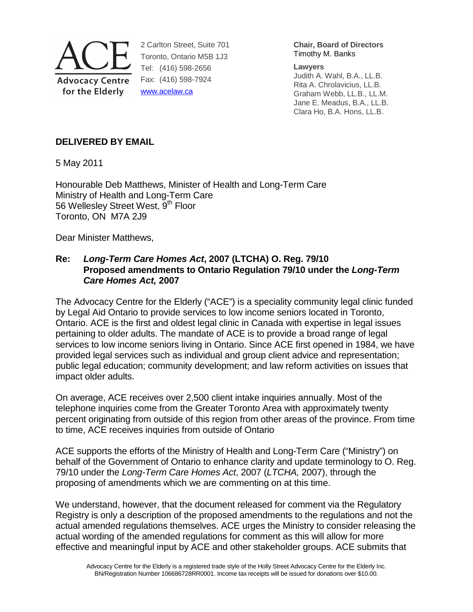

2 Carlton Street, Suite 701 Toronto, Ontario M5B 1J3 Tel: (416) 598-2656 Fax: (416) 598-7924 www.acelaw.ca

**Chair, Board of Directors** Timothy M. Banks

**Lawyers**  Judith A. Wahl, B.A., LL.B. Rita A. Chrolavicius, LL.B. Graham Webb, LL.B., LL.M.

Jane E. Meadus, B.A., LL.B. Clara Ho, B.A. Hons, LL.B.

# **DELIVERED BY EMAIL**

5 May 2011

Honourable Deb Matthews, Minister of Health and Long-Term Care Ministry of Health and Long-Term Care 56 Wellesley Street West, 9<sup>th</sup> Floor Toronto, ON M7A 2J9

Dear Minister Matthews,

### **Re: Long-Term Care Homes Act, 2007 (LTCHA) O. Reg. 79/10 Proposed amendments to Ontario Regulation 79/10 under the Long-Term Care Homes Act, 2007**

The Advocacy Centre for the Elderly ("ACE") is a speciality community legal clinic funded by Legal Aid Ontario to provide services to low income seniors located in Toronto, Ontario. ACE is the first and oldest legal clinic in Canada with expertise in legal issues pertaining to older adults. The mandate of ACE is to provide a broad range of legal services to low income seniors living in Ontario. Since ACE first opened in 1984, we have provided legal services such as individual and group client advice and representation; public legal education; community development; and law reform activities on issues that impact older adults.

On average, ACE receives over 2,500 client intake inquiries annually. Most of the telephone inquiries come from the Greater Toronto Area with approximately twenty percent originating from outside of this region from other areas of the province. From time to time, ACE receives inquiries from outside of Ontario

ACE supports the efforts of the Ministry of Health and Long-Term Care ("Ministry") on behalf of the Government of Ontario to enhance clarity and update terminology to O. Reg. 79/10 under the Long-Term Care Homes Act, 2007 (LTCHA, 2007), through the proposing of amendments which we are commenting on at this time.

We understand, however, that the document released for comment via the Regulatory Registry is only a description of the proposed amendments to the regulations and not the actual amended regulations themselves. ACE urges the Ministry to consider releasing the actual wording of the amended regulations for comment as this will allow for more effective and meaningful input by ACE and other stakeholder groups. ACE submits that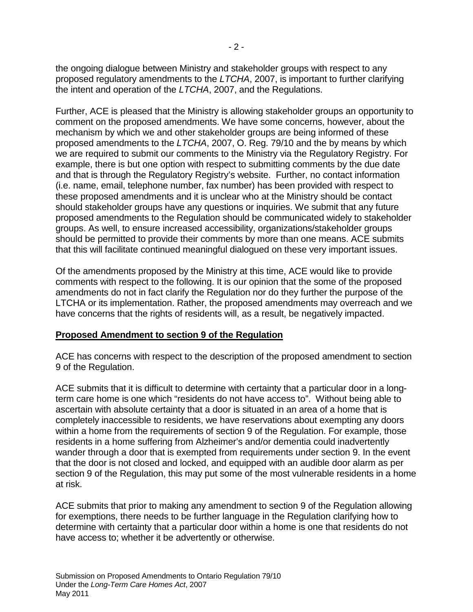the ongoing dialogue between Ministry and stakeholder groups with respect to any proposed regulatory amendments to the LTCHA, 2007, is important to further clarifying the intent and operation of the LTCHA, 2007, and the Regulations.

Further, ACE is pleased that the Ministry is allowing stakeholder groups an opportunity to comment on the proposed amendments. We have some concerns, however, about the mechanism by which we and other stakeholder groups are being informed of these proposed amendments to the LTCHA, 2007, O. Reg. 79/10 and the by means by which we are required to submit our comments to the Ministry via the Regulatory Registry. For example, there is but one option with respect to submitting comments by the due date and that is through the Regulatory Registry's website. Further, no contact information (i.e. name, email, telephone number, fax number) has been provided with respect to these proposed amendments and it is unclear who at the Ministry should be contact should stakeholder groups have any questions or inquiries. We submit that any future proposed amendments to the Regulation should be communicated widely to stakeholder groups. As well, to ensure increased accessibility, organizations/stakeholder groups should be permitted to provide their comments by more than one means. ACE submits that this will facilitate continued meaningful dialogued on these very important issues.

Of the amendments proposed by the Ministry at this time, ACE would like to provide comments with respect to the following. It is our opinion that the some of the proposed amendments do not in fact clarify the Regulation nor do they further the purpose of the LTCHA or its implementation. Rather, the proposed amendments may overreach and we have concerns that the rights of residents will, as a result, be negatively impacted.

### **Proposed Amendment to section 9 of the Regulation**

ACE has concerns with respect to the description of the proposed amendment to section 9 of the Regulation.

ACE submits that it is difficult to determine with certainty that a particular door in a longterm care home is one which "residents do not have access to". Without being able to ascertain with absolute certainty that a door is situated in an area of a home that is completely inaccessible to residents, we have reservations about exempting any doors within a home from the requirements of section 9 of the Regulation. For example, those residents in a home suffering from Alzheimer's and/or dementia could inadvertently wander through a door that is exempted from requirements under section 9. In the event that the door is not closed and locked, and equipped with an audible door alarm as per section 9 of the Regulation, this may put some of the most vulnerable residents in a home at risk.

ACE submits that prior to making any amendment to section 9 of the Regulation allowing for exemptions, there needs to be further language in the Regulation clarifying how to determine with certainty that a particular door within a home is one that residents do not have access to; whether it be advertently or otherwise.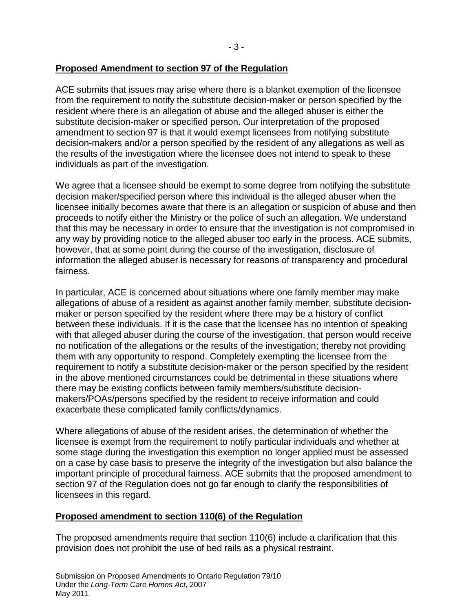## **Proposed Amendment to section 97 of the Regulation**

ACE submits that issues may arise where there is a blanket exemption of the licensee from the requirement to notify the substitute decision-maker or person specified by the resident where there is an allegation of abuse and the alleged abuser is either the substitute decision-maker or specified person. Our interpretation of the proposed amendment to section 97 is that it would exempt licensees from notifying substitute decision-makers and/or a person specified by the resident of any allegations as well as the results of the investigation where the licensee does not intend to speak to these individuals as part of the investigation.

We agree that a licensee should be exempt to some degree from notifying the substitute decision maker/specified person where this individual is the alleged abuser when the licensee initially becomes aware that there is an allegation or suspicion of abuse and then proceeds to notify either the Ministry or the police of such an allegation. We understand that this may be necessary in order to ensure that the investigation is not compromised in any way by providing notice to the alleged abuser too early in the process. ACE submits, however, that at some point during the course of the investigation, disclosure of information the alleged abuser is necessary for reasons of transparency and procedural fairness.

In particular, ACE is concerned about situations where one family member may make allegations of abuse of a resident as against another family member, substitute decisionmaker or person specified by the resident where there may be a history of conflict between these individuals. If it is the case that the licensee has no intention of speaking with that alleged abuser during the course of the investigation, that person would receive no notification of the allegations or the results of the investigation; thereby not providing them with any opportunity to respond. Completely exempting the licensee from the requirement to notify a substitute decision-maker or the person specified by the resident in the above mentioned circumstances could be detrimental in these situations where there may be existing conflicts between family members/substitute decisionmakers/POAs/persons specified by the resident to receive information and could exacerbate these complicated family conflicts/dynamics.

Where allegations of abuse of the resident arises, the determination of whether the licensee is exempt from the requirement to notify particular individuals and whether at some stage during the investigation this exemption no longer applied must be assessed on a case by case basis to preserve the integrity of the investigation but also balance the important principle of procedural fairness. ACE submits that the proposed amendment to section 97 of the Regulation does not go far enough to clarify the responsibilities of licensees in this regard.

### **Proposed amendment to section 110(6) of the Regulation**

The proposed amendments require that section 110(6) include a clarification that this provision does not prohibit the use of bed rails as a physical restraint.